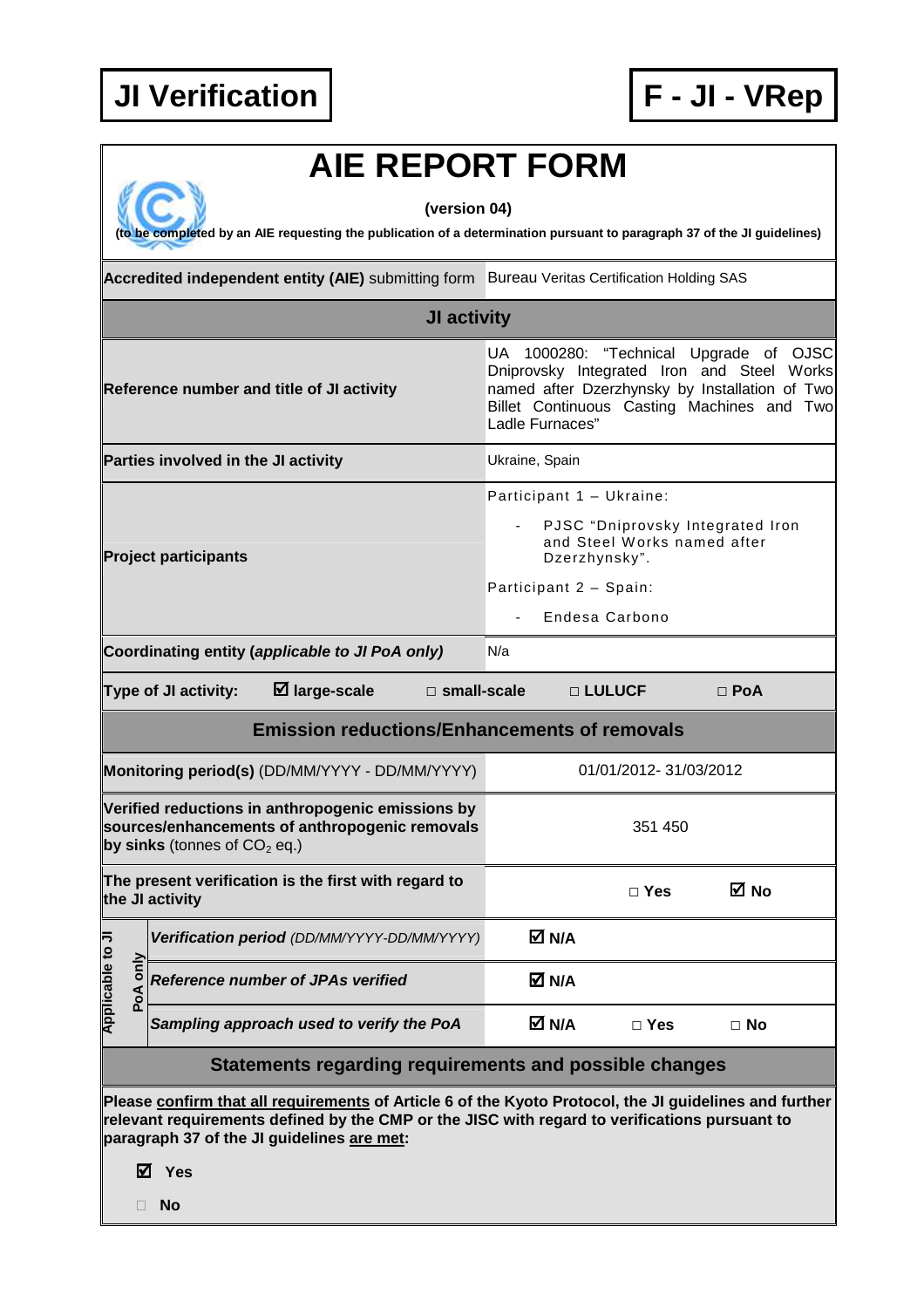

## **AIE REPORT FORM**

**(version 04)** 

**(to be completed by an AIE requesting the publication of a determination pursuant to paragraph 37 of the JI guidelines)** 

|                                                                                                                                                                                                                                                       |          | Accredited independent entity (AIE) submitting form Bureau Veritas Certification Holding SAS                                          |                                                                                                                                                                                                         |               |            |  |  |
|-------------------------------------------------------------------------------------------------------------------------------------------------------------------------------------------------------------------------------------------------------|----------|---------------------------------------------------------------------------------------------------------------------------------------|---------------------------------------------------------------------------------------------------------------------------------------------------------------------------------------------------------|---------------|------------|--|--|
| <b>JI activity</b>                                                                                                                                                                                                                                    |          |                                                                                                                                       |                                                                                                                                                                                                         |               |            |  |  |
|                                                                                                                                                                                                                                                       |          | Reference number and title of JI activity                                                                                             | UA 1000280: "Technical Upgrade of OJSC<br>Dniprovsky Integrated Iron and Steel Works<br>named after Dzerzhynsky by Installation of Two<br>Billet Continuous Casting Machines and Two<br>Ladle Furnaces" |               |            |  |  |
|                                                                                                                                                                                                                                                       |          | Parties involved in the JI activity                                                                                                   | Ukraine, Spain                                                                                                                                                                                          |               |            |  |  |
| <b>Project participants</b>                                                                                                                                                                                                                           |          |                                                                                                                                       | Participant 1 - Ukraine:<br>PJSC "Dniprovsky Integrated Iron<br>and Steel Works named after<br>Dzerzhynsky".<br>Participant 2 - Spain:<br>Endesa Carbono                                                |               |            |  |  |
|                                                                                                                                                                                                                                                       |          | Coordinating entity (applicable to JI PoA only)                                                                                       | N/a                                                                                                                                                                                                     |               |            |  |  |
|                                                                                                                                                                                                                                                       |          | $\boxtimes$ large-scale<br>Type of JI activity:<br>$\square$ small-scale                                                              | □ LULUCF                                                                                                                                                                                                |               | $\Box$ PoA |  |  |
|                                                                                                                                                                                                                                                       |          | <b>Emission reductions/Enhancements of removals</b>                                                                                   |                                                                                                                                                                                                         |               |            |  |  |
|                                                                                                                                                                                                                                                       |          | Monitoring period(s) (DD/MM/YYYY - DD/MM/YYYY)                                                                                        | 01/01/2012-31/03/2012                                                                                                                                                                                   |               |            |  |  |
|                                                                                                                                                                                                                                                       |          | Verified reductions in anthropogenic emissions by<br>sources/enhancements of anthropogenic removals<br>by sinks (tonnes of $CO2$ eq.) | 351 450                                                                                                                                                                                                 |               |            |  |  |
|                                                                                                                                                                                                                                                       |          | The present verification is the first with regard to<br>the JI activity                                                               |                                                                                                                                                                                                         | $\Box$ Yes    | M No       |  |  |
| F<br>$\circ$                                                                                                                                                                                                                                          |          | Verification period (DD/MM/YYYY-DD/MM/YYYY)                                                                                           | M N/A                                                                                                                                                                                                   |               |            |  |  |
| <b>Applicable</b>                                                                                                                                                                                                                                     | PoA only | <b>Reference number of JPAs verified</b>                                                                                              | M N/A                                                                                                                                                                                                   |               |            |  |  |
|                                                                                                                                                                                                                                                       |          | Sampling approach used to verify the PoA                                                                                              | M N/A                                                                                                                                                                                                   | $\square$ Yes | $\Box$ No  |  |  |
| Statements regarding requirements and possible changes                                                                                                                                                                                                |          |                                                                                                                                       |                                                                                                                                                                                                         |               |            |  |  |
| Please confirm that all requirements of Article 6 of the Kyoto Protocol, the JI guidelines and further<br>relevant requirements defined by the CMP or the JISC with regard to verifications pursuant to<br>paragraph 37 of the JI guidelines are met: |          |                                                                                                                                       |                                                                                                                                                                                                         |               |            |  |  |

**Yes** 

**No**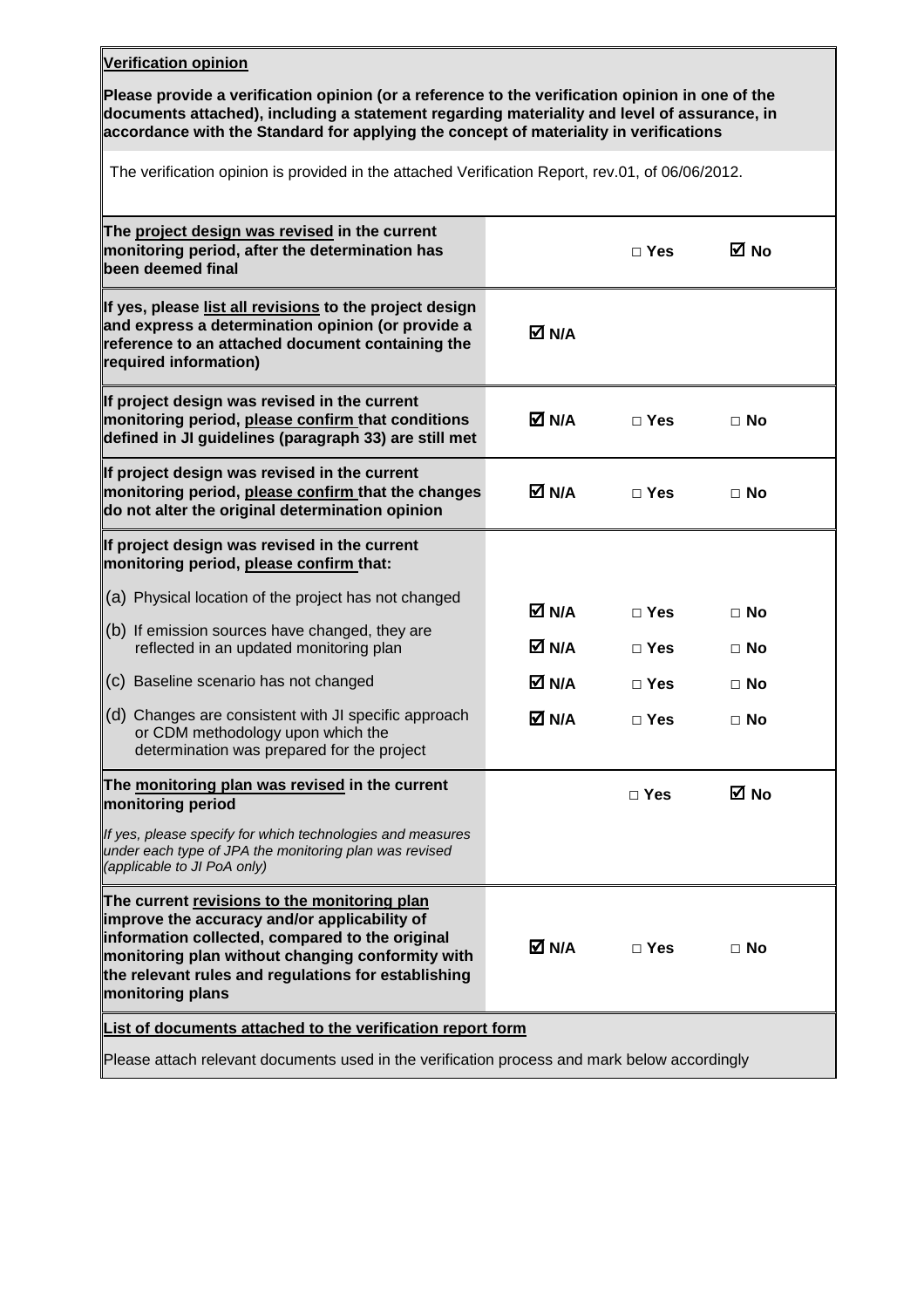## **Verification opinion**

**Please provide a verification opinion (or a reference to the verification opinion in one of the documents attached), including a statement regarding materiality and level of assurance, in accordance with the Standard for applying the concept of materiality in verifications** 

The verification opinion is provided in the attached Verification Report, rev.01, of 06/06/2012.

|                                                                                              | $\Box$ Yes     | ⊠ No                     |  |  |  |  |
|----------------------------------------------------------------------------------------------|----------------|--------------------------|--|--|--|--|
| M N/A                                                                                        |                |                          |  |  |  |  |
| M N/A                                                                                        | $\sqcap$ Yes   | $\Box$ No                |  |  |  |  |
| M N/A                                                                                        | $\Box$ Yes     | $\Box$ No                |  |  |  |  |
|                                                                                              |                |                          |  |  |  |  |
|                                                                                              |                | $\Box$ No                |  |  |  |  |
|                                                                                              |                |                          |  |  |  |  |
|                                                                                              |                | $\Box$ No                |  |  |  |  |
| M N/A                                                                                        | $\Box$ Yes     | $\Box$ No                |  |  |  |  |
| M N/A                                                                                        | $\Box$ Yes     | $\Box$ No                |  |  |  |  |
|                                                                                              | $\square$ Yes  | M No                     |  |  |  |  |
|                                                                                              |                |                          |  |  |  |  |
| M N/A                                                                                        | $\Box$ Yes     | $\Box$ No                |  |  |  |  |
| List of documents attached to the verification report form                                   |                |                          |  |  |  |  |
| Please attach relevant documents used in the verification process and mark below accordingly |                |                          |  |  |  |  |
|                                                                                              | M N/A<br>M N/A | $\Box$ Yes<br>$\Box$ Yes |  |  |  |  |